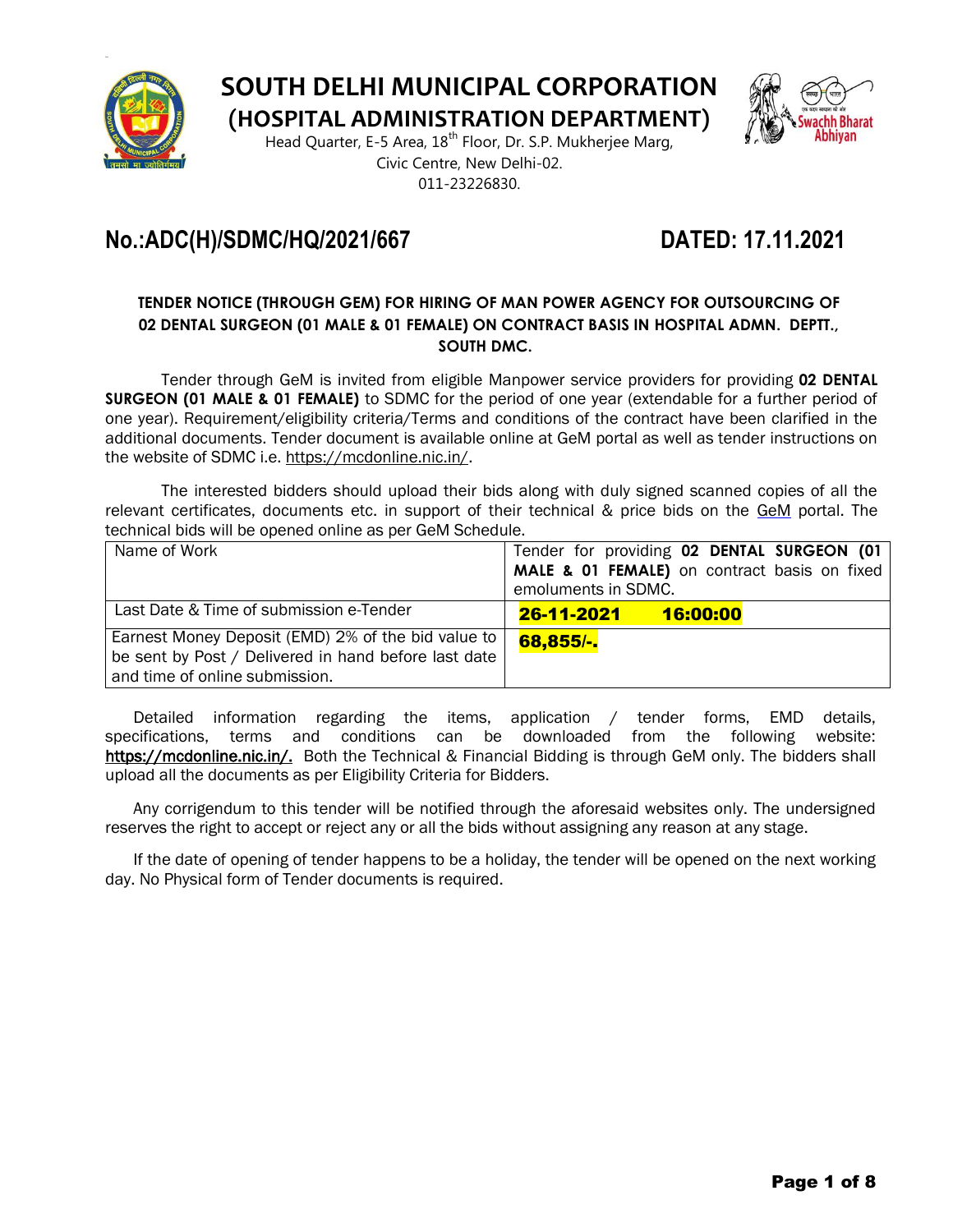

**SOUTH DELHI MUNICIPAL CORPORATION**

**(HOSPITAL ADMINISTRATION DEPARTMENT)**

Head Quarter, E-5 Area, 18<sup>th</sup> Floor, Dr. S.P. Mukherjee Marg, Civic Centre, New Delhi-02. 011-23226830.



# **No.:ADC(H)/SDMC/HQ/2021/667 DATED: 17.11.2021**

#### **TENDER NOTICE (THROUGH GEM) FOR HIRING OF MAN POWER AGENCY FOR OUTSOURCING OF 02 DENTAL SURGEON (01 MALE & 01 FEMALE) ON CONTRACT BASIS IN HOSPITAL ADMN. DEPTT., SOUTH DMC.**

Tender through GeM is invited from eligible Manpower service providers for providing **02 DENTAL SURGEON (01 MALE & 01 FEMALE)** to SDMC for the period of one year (extendable for a further period of one year). Requirement/eligibility criteria/Terms and conditions of the contract have been clarified in the additional documents. Tender document is available online at GeM portal as well as tender instructions on the website of SDMC i.e. https://mcdonline.nic.in/.

The interested bidders should upload their bids along with duly signed scanned copies of all the relevant certificates, documents etc. in support of their technical & price bids on the GeM portal. The technical bids will be opened online as per GeM Schedule.

| Name of Work                                         | Tender for providing 02 DENTAL SURGEON (01   |  |  |
|------------------------------------------------------|----------------------------------------------|--|--|
|                                                      | MALE & 01 FEMALE) on contract basis on fixed |  |  |
|                                                      | emoluments in SDMC.                          |  |  |
| Last Date & Time of submission e-Tender              | <u>26-11-2021 - 1</u><br>16:00:00            |  |  |
| Earnest Money Deposit (EMD) 2% of the bid value to   | 68,855/-                                     |  |  |
| be sent by Post / Delivered in hand before last date |                                              |  |  |
| and time of online submission.                       |                                              |  |  |

Detailed information regarding the items, application / tender forms, EMD details, specifications, terms and conditions can be downloaded from the following website: https://mcdonline.nic.in/. Both the Technical & Financial Bidding is through GeM only. The bidders shall upload all the documents as per Eligibility Criteria for Bidders.

Any corrigendum to this tender will be notified through the aforesaid websites only. The undersigned reserves the right to accept or reject any or all the bids without assigning any reason at any stage.

If the date of opening of tender happens to be a holiday, the tender will be opened on the next working day. No Physical form of Tender documents is required.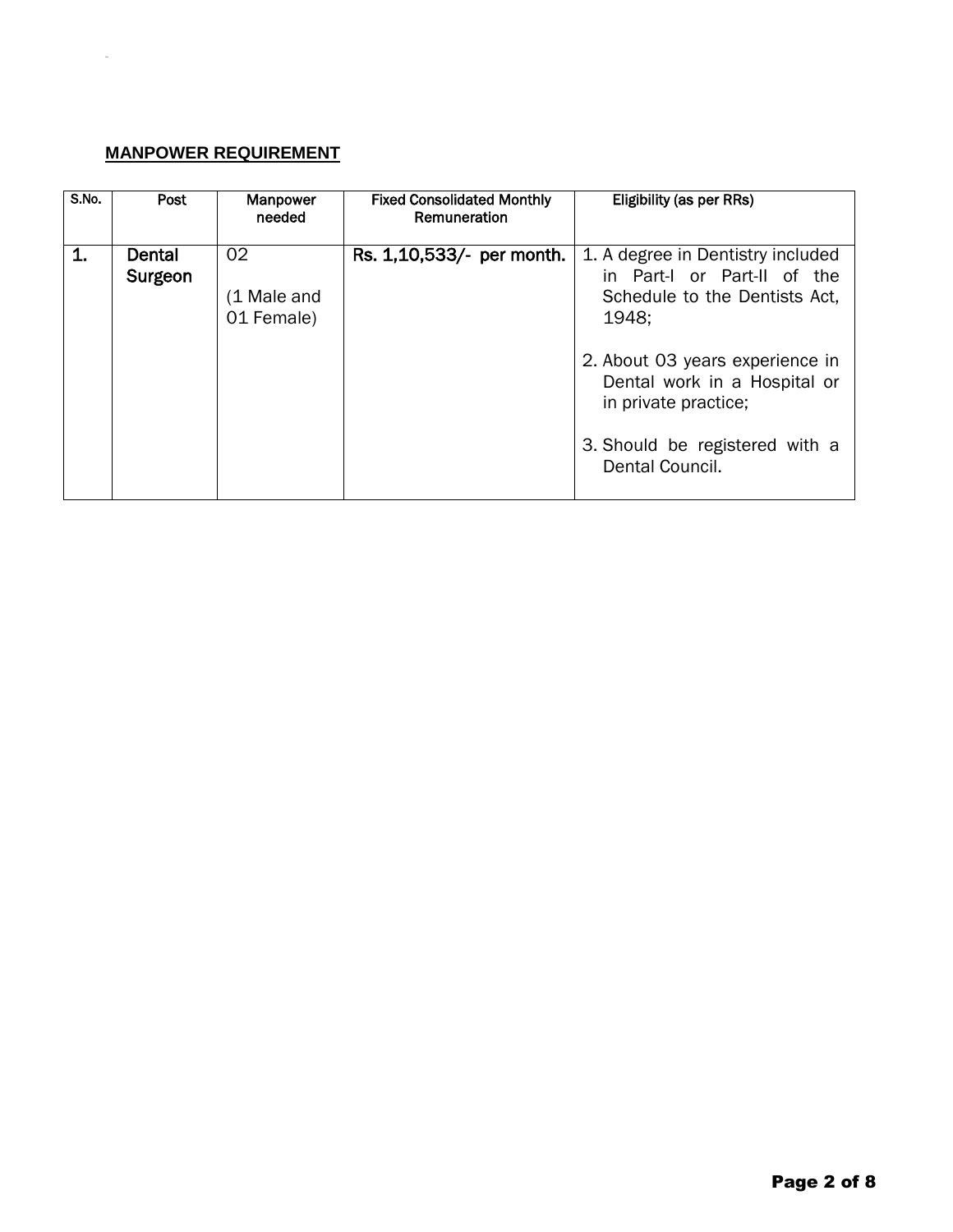### **MANPOWER REQUIREMENT**

DRA

| S.No. | Post              | <b>Manpower</b><br>needed       | <b>Fixed Consolidated Monthly</b><br>Remuneration | Eligibility (as per RRs)                                                                                                                                                                                                                                   |
|-------|-------------------|---------------------------------|---------------------------------------------------|------------------------------------------------------------------------------------------------------------------------------------------------------------------------------------------------------------------------------------------------------------|
| 1.    | Dental<br>Surgeon | 02<br>(1 Male and<br>01 Female) | Rs. 1,10,533/- per month.                         | 1. A degree in Dentistry included<br>in Part-I or Part-II of the<br>Schedule to the Dentists Act,<br>1948:<br>2. About 03 years experience in<br>Dental work in a Hospital or<br>in private practice;<br>3. Should be registered with a<br>Dental Council. |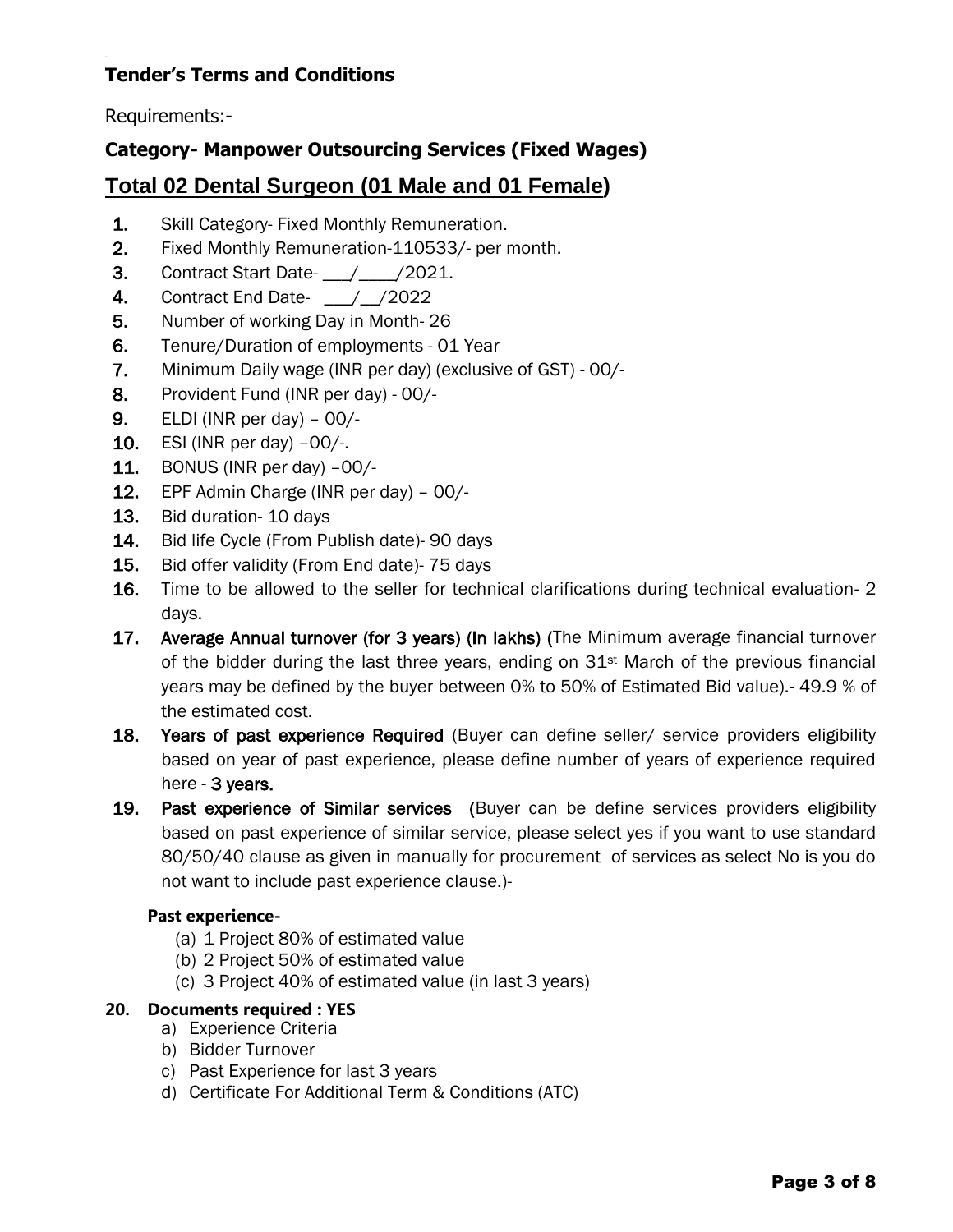## **Tender's Terms and Conditions**

Requirements:-

## **Category- Manpower Outsourcing Services (Fixed Wages)**

## **Total 02 Dental Surgeon (01 Male and 01 Female)**

- 1. Skill Category- Fixed Monthly Remuneration.
- 2. Fixed Monthly Remuneration-110533/- per month.
- **3.** Contract Start Date- 1/10021.
- 4. Contract End Date- \_\_\_/\_\_/2022
- 5. Number of working Day in Month- 26
- 6. Tenure/Duration of employments 01 Year
- 7. Minimum Daily wage (INR per day) (exclusive of GST) 00/-
- 8. Provident Fund (INR per day) 00/-
- 9. ELDI (INR per day) 00/-
- 10. ESI (INR per day) –00/-.
- 11. BONUS (INR per day) –00/-
- 12. EPF Admin Charge (INR per day) 00/-
- 13. Bid duration- 10 days
- 14. Bid life Cycle (From Publish date)- 90 days
- 15. Bid offer validity (From End date)- 75 days
- 16. Time to be allowed to the seller for technical clarifications during technical evaluation- 2 days.
- 17. Average Annual turnover (for 3 years) (In lakhs) (The Minimum average financial turnover of the bidder during the last three years, ending on  $31<sup>st</sup>$  March of the previous financial years may be defined by the buyer between 0% to 50% of Estimated Bid value).- 49.9 % of the estimated cost.
- 18. Years of past experience Required (Buyer can define seller/ service providers eligibility based on year of past experience, please define number of years of experience required here - 3 years.
- 19. Past experience of Similar services (Buyer can be define services providers eligibility based on past experience of similar service, please select yes if you want to use standard 80/50/40 clause as given in manually for procurement of services as select No is you do not want to include past experience clause.)-

#### **Past experience-**

- (a) 1 Project 80% of estimated value
- (b) 2 Project 50% of estimated value
- (c) 3 Project 40% of estimated value (in last 3 years)

#### **20. Documents required : YES**

- a) Experience Criteria
- b) Bidder Turnover
- c) Past Experience for last 3 years
- d) Certificate For Additional Term & Conditions (ATC)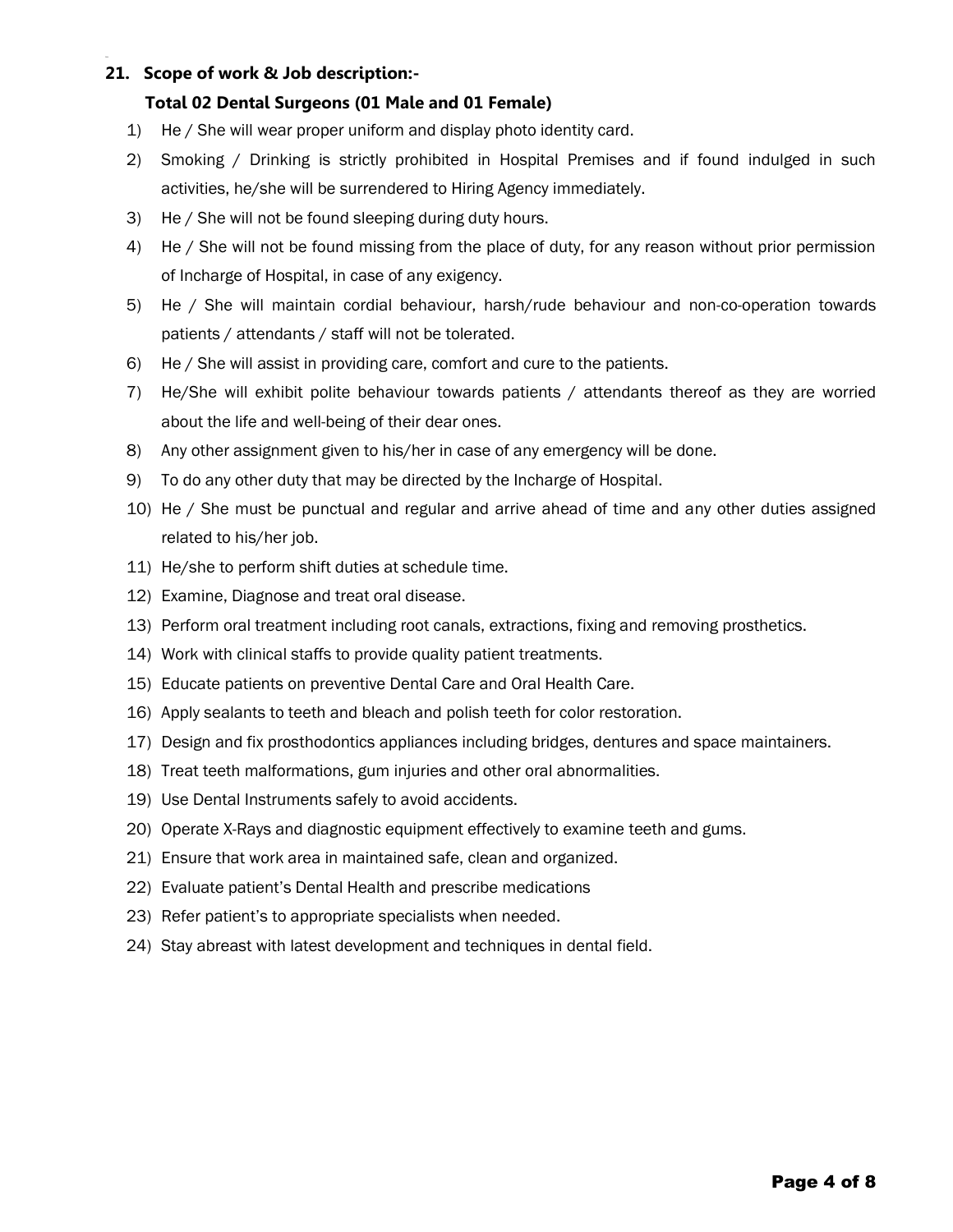#### **21. Scope of work & Job description:-**

#### **Total 02 Dental Surgeons (01 Male and 01 Female)**

- 1) He / She will wear proper uniform and display photo identity card.
- 2) Smoking / Drinking is strictly prohibited in Hospital Premises and if found indulged in such activities, he/she will be surrendered to Hiring Agency immediately.
- 3) He / She will not be found sleeping during duty hours.
- 4) He / She will not be found missing from the place of duty, for any reason without prior permission of Incharge of Hospital, in case of any exigency.
- 5) He / She will maintain cordial behaviour, harsh/rude behaviour and non-co-operation towards patients / attendants / staff will not be tolerated.
- 6) He / She will assist in providing care, comfort and cure to the patients.
- 7) He/She will exhibit polite behaviour towards patients / attendants thereof as they are worried about the life and well-being of their dear ones.
- 8) Any other assignment given to his/her in case of any emergency will be done.
- 9) To do any other duty that may be directed by the Incharge of Hospital.
- 10) He / She must be punctual and regular and arrive ahead of time and any other duties assigned related to his/her job.
- 11) He/she to perform shift duties at schedule time.
- 12) Examine, Diagnose and treat oral disease.
- 13) Perform oral treatment including root canals, extractions, fixing and removing prosthetics.
- 14) Work with clinical staffs to provide quality patient treatments.
- 15) Educate patients on preventive Dental Care and Oral Health Care.
- 16) Apply sealants to teeth and bleach and polish teeth for color restoration.
- 17) Design and fix prosthodontics appliances including bridges, dentures and space maintainers.
- 18) Treat teeth malformations, gum injuries and other oral abnormalities.
- 19) Use Dental Instruments safely to avoid accidents.
- 20) Operate X-Rays and diagnostic equipment effectively to examine teeth and gums.
- 21) Ensure that work area in maintained safe, clean and organized.
- 22) Evaluate patient's Dental Health and prescribe medications
- 23) Refer patient's to appropriate specialists when needed.
- 24) Stay abreast with latest development and techniques in dental field.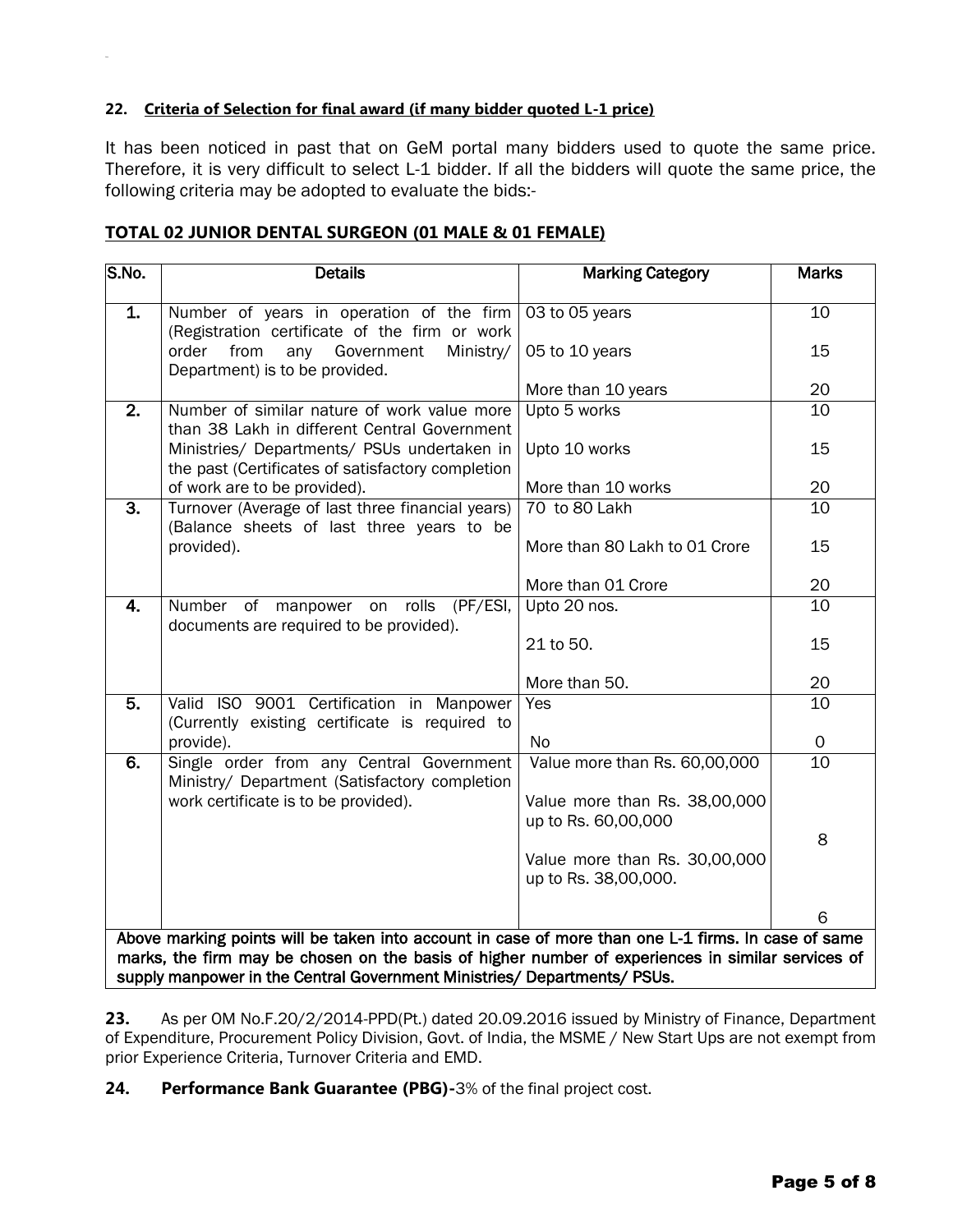#### **22. Criteria of Selection for final award (if many bidder quoted L-1 price)**

It has been noticed in past that on GeM portal many bidders used to quote the same price. Therefore, it is very difficult to select L-1 bidder. If all the bidders will quote the same price, the following criteria may be adopted to evaluate the bids:-

#### **TOTAL 02 JUNIOR DENTAL SURGEON (01 MALE & 01 FEMALE)**

| S.No.                                                                                               | <b>Details</b>                                                                                   | <b>Marking Category</b>                               | <b>Marks</b> |  |  |  |
|-----------------------------------------------------------------------------------------------------|--------------------------------------------------------------------------------------------------|-------------------------------------------------------|--------------|--|--|--|
| 1.                                                                                                  | Number of years in operation of the firm<br>(Registration certificate of the firm or work        | 03 to 05 years                                        | 10           |  |  |  |
|                                                                                                     | any Government<br>order<br>from<br>Ministry/<br>Department) is to be provided.                   | 05 to 10 years                                        | 15           |  |  |  |
|                                                                                                     |                                                                                                  | More than 10 years                                    | 20           |  |  |  |
| $\overline{2}$ .                                                                                    | Number of similar nature of work value more<br>than 38 Lakh in different Central Government      | Upto 5 works                                          | 10           |  |  |  |
|                                                                                                     | Ministries/ Departments/ PSUs undertaken in<br>the past (Certificates of satisfactory completion | Upto 10 works                                         | 15           |  |  |  |
|                                                                                                     | of work are to be provided).                                                                     | More than 10 works                                    | 20           |  |  |  |
| $\overline{3}$ .                                                                                    | Turnover (Average of last three financial years)<br>(Balance sheets of last three years to be    | 70 to 80 Lakh                                         | 10           |  |  |  |
|                                                                                                     | provided).                                                                                       | More than 80 Lakh to 01 Crore                         | 15           |  |  |  |
|                                                                                                     |                                                                                                  | More than 01 Crore                                    | 20           |  |  |  |
| 4.                                                                                                  | Number of manpower on rolls (PF/ESI,<br>documents are required to be provided).                  | Upto 20 nos.                                          | 10           |  |  |  |
|                                                                                                     |                                                                                                  | 21 to 50.                                             | 15           |  |  |  |
|                                                                                                     |                                                                                                  | More than 50.                                         | 20           |  |  |  |
| 5.                                                                                                  | Valid ISO 9001 Certification in Manpower<br>(Currently existing certificate is required to       | Yes                                                   | 10           |  |  |  |
|                                                                                                     | provide).                                                                                        | <b>No</b>                                             | 0            |  |  |  |
| $\overline{6}$ .                                                                                    | Single order from any Central Government<br>Ministry/ Department (Satisfactory completion        | Value more than Rs. 60,00,000                         | 10           |  |  |  |
|                                                                                                     | work certificate is to be provided).                                                             | Value more than Rs. 38,00,000<br>up to Rs. 60,00,000  |              |  |  |  |
|                                                                                                     |                                                                                                  |                                                       | 8            |  |  |  |
|                                                                                                     |                                                                                                  | Value more than Rs. 30,00,000<br>up to Rs. 38,00,000. |              |  |  |  |
|                                                                                                     |                                                                                                  |                                                       | 6            |  |  |  |
| Above marking points will be taken into account in case of more than one L-1 firms. In case of same |                                                                                                  |                                                       |              |  |  |  |
| marks, the firm may be chosen on the basis of higher number of experiences in similar services of   |                                                                                                  |                                                       |              |  |  |  |
| supply manpower in the Central Government Ministries/ Departments/ PSUs.                            |                                                                                                  |                                                       |              |  |  |  |

**23.** As per OM No.F.20/2/2014-PPD(Pt.) dated 20.09.2016 issued by Ministry of Finance, Department of Expenditure, Procurement Policy Division, Govt. of India, the MSME / New Start Ups are not exempt from prior Experience Criteria, Turnover Criteria and EMD.

**24. Performance Bank Guarantee (PBG)-**3% of the final project cost.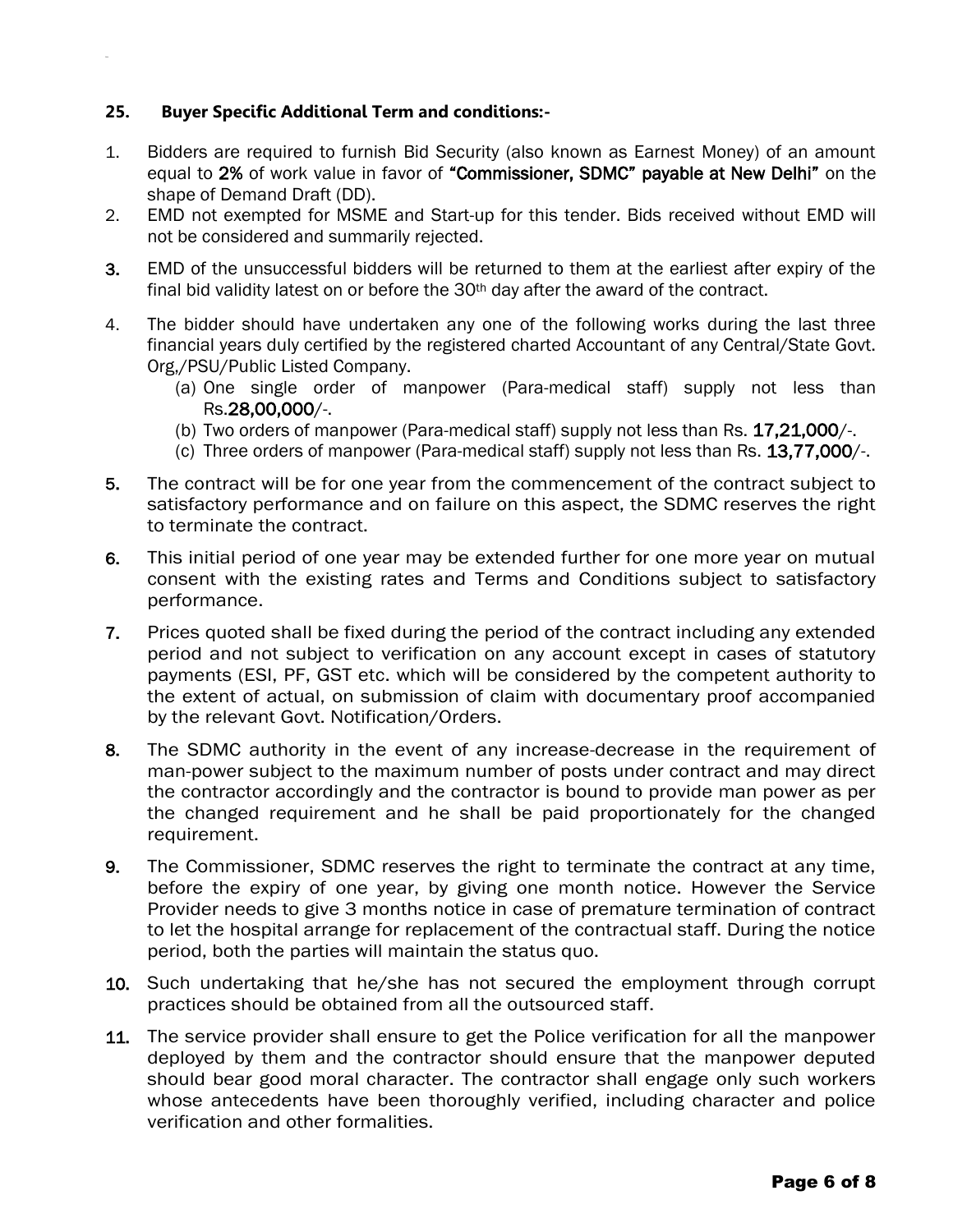#### **25. Buyer Specific Additional Term and conditions:-**

- 1. Bidders are required to furnish Bid Security (also known as Earnest Money) of an amount equal to 2% of work value in favor of "Commissioner, SDMC" payable at New Delhi" on the shape of Demand Draft (DD).
- 2. EMD not exempted for MSME and Start-up for this tender. Bids received without EMD will not be considered and summarily rejected.
- 3. EMD of the unsuccessful bidders will be returned to them at the earliest after expiry of the final bid validity latest on or before the  $30<sup>th</sup>$  day after the award of the contract.
- 4. The bidder should have undertaken any one of the following works during the last three financial years duly certified by the registered charted Accountant of any Central/State Govt. Org,/PSU/Public Listed Company.
	- (a) One single order of manpower (Para-medical staff) supply not less than Rs.28,00,000/-.
	- (b) Two orders of manpower (Para-medical staff) supply not less than Rs. 17,21,000/-.
	- (c) Three orders of manpower (Para-medical staff) supply not less than Rs. 13,77,000/-.
- 5. The contract will be for one year from the commencement of the contract subject to satisfactory performance and on failure on this aspect, the SDMC reserves the right to terminate the contract.
- 6. This initial period of one year may be extended further for one more year on mutual consent with the existing rates and Terms and Conditions subject to satisfactory performance.
- 7. Prices quoted shall be fixed during the period of the contract including any extended period and not subject to verification on any account except in cases of statutory payments (ESI, PF, GST etc. which will be considered by the competent authority to the extent of actual, on submission of claim with documentary proof accompanied by the relevant Govt. Notification/Orders.
- 8. The SDMC authority in the event of any increase-decrease in the requirement of man-power subject to the maximum number of posts under contract and may direct the contractor accordingly and the contractor is bound to provide man power as per the changed requirement and he shall be paid proportionately for the changed requirement.
- 9. The Commissioner, SDMC reserves the right to terminate the contract at any time, before the expiry of one year, by giving one month notice. However the Service Provider needs to give 3 months notice in case of premature termination of contract to let the hospital arrange for replacement of the contractual staff. During the notice period, both the parties will maintain the status quo.
- 10. Such undertaking that he/she has not secured the employment through corrupt practices should be obtained from all the outsourced staff.
- 11. The service provider shall ensure to get the Police verification for all the manpower deployed by them and the contractor should ensure that the manpower deputed should bear good moral character. The contractor shall engage only such workers whose antecedents have been thoroughly verified, including character and police verification and other formalities.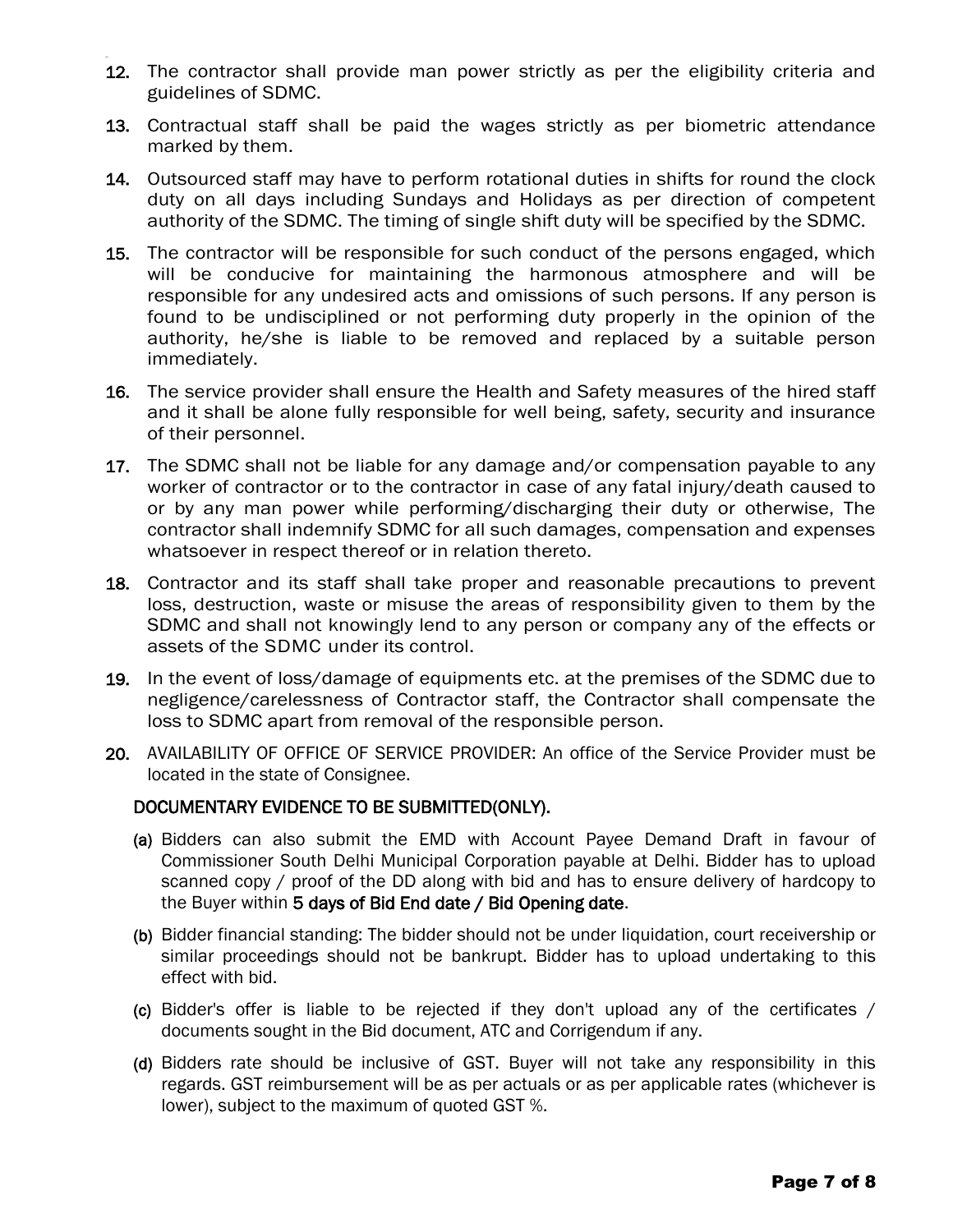- 12. The contractor shall provide man power strictly as per the eligibility criteria and guidelines of SDMC.
- 13. Contractual staff shall be paid the wages strictly as per biometric attendance marked by them.
- 14. Outsourced staff may have to perform rotational duties in shifts for round the clock duty on all days including Sundays and Holidays as per direction of competent authority of the SDMC. The timing of single shift duty will be specified by the SDMC.
- 15. The contractor will be responsible for such conduct of the persons engaged, which will be conducive for maintaining the harmonous atmosphere and will be responsible for any undesired acts and omissions of such persons. If any person is found to be undisciplined or not performing duty properly in the opinion of the authority, he/she is liable to be removed and replaced by a suitable person immediately.
- 16. The service provider shall ensure the Health and Safety measures of the hired staff and it shall be alone fully responsible for well being, safety, security and insurance of their personnel.
- 17. The SDMC shall not be liable for any damage and/or compensation payable to any worker of contractor or to the contractor in case of any fatal injury/death caused to or by any man power while performing/discharging their duty or otherwise, The contractor shall indemnify SDMC for all such damages, compensation and expenses whatsoever in respect thereof or in relation thereto.
- 18. Contractor and its staff shall take proper and reasonable precautions to prevent loss, destruction, waste or misuse the areas of responsibility given to them by the SDMC and shall not knowingly lend to any person or company any of the effects or assets of the SDMC under its control.
- 19. In the event of loss/damage of equipments etc. at the premises of the SDMC due to negligence/carelessness of Contractor staff, the Contractor shall compensate the loss to SDMC apart from removal of the responsible person.
- 20. AVAILABILITY OF OFFICE OF SERVICE PROVIDER: An office of the Service Provider must be located in the state of Consignee.

#### DOCUMENTARY EVIDENCE TO BE SUBMITTED(ONLY).

- (a) Bidders can also submit the EMD with Account Payee Demand Draft in favour of Commissioner South Delhi Municipal Corporation payable at Delhi. Bidder has to upload scanned copy / proof of the DD along with bid and has to ensure delivery of hardcopy to the Buyer within 5 days of Bid End date / Bid Opening date.
- (b) Bidder financial standing: The bidder should not be under liquidation, court receivership or similar proceedings should not be bankrupt. Bidder has to upload undertaking to this effect with bid.
- (c) Bidder's offer is liable to be rejected if they don't upload any of the certificates / documents sought in the Bid document, ATC and Corrigendum if any.
- (d) Bidders rate should be inclusive of GST. Buyer will not take any responsibility in this regards. GST reimbursement will be as per actuals or as per applicable rates (whichever is lower), subject to the maximum of quoted GST %.